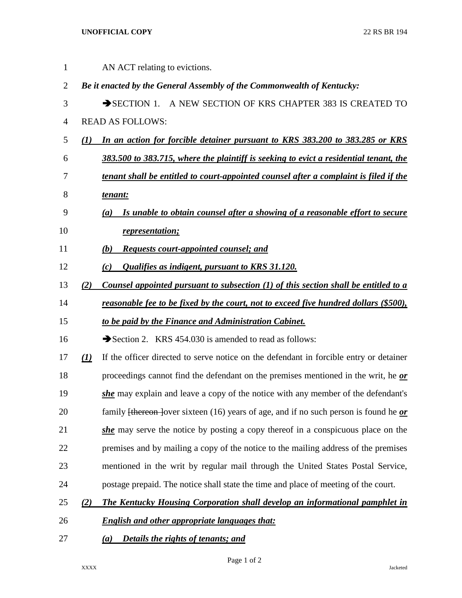## **UNOFFICIAL COPY** 22 RS BR 194

| $\mathbf 1$    |     | AN ACT relating to evictions.                                                                           |
|----------------|-----|---------------------------------------------------------------------------------------------------------|
| $\overline{2}$ |     | Be it enacted by the General Assembly of the Commonwealth of Kentucky:                                  |
| 3              |     | SECTION 1. A NEW SECTION OF KRS CHAPTER 383 IS CREATED TO                                               |
| $\overline{4}$ |     | <b>READ AS FOLLOWS:</b>                                                                                 |
| 5              | (I) | In an action for forcible detainer pursuant to KRS 383.200 to 383.285 or KRS                            |
| 6              |     | 383.500 to 383.715, where the plaintiff is seeking to evict a residential tenant, the                   |
| 7              |     | tenant shall be entitled to court-appointed counsel after a complaint is filed if the                   |
| 8              |     | tenant:                                                                                                 |
| 9              |     | Is unable to obtain counsel after a showing of a reasonable effort to secure<br>(a)                     |
| 10             |     | <i>representation;</i>                                                                                  |
| 11             |     | <b>Requests court-appointed counsel; and</b><br><b>(b)</b>                                              |
| 12             |     | <b>Qualifies as indigent, pursuant to KRS 31.120.</b><br>(c)                                            |
| 13             | (2) | Counsel appointed pursuant to subsection $(1)$ of this section shall be entitled to a                   |
| 14             |     | <u>reasonable fee to be fixed by the court, not to exceed five hundred dollars (\$500),</u>             |
| 15             |     | to be paid by the Finance and Administration Cabinet.                                                   |
| 16             |     | Section 2. KRS 454.030 is amended to read as follows:                                                   |
| 17             | (1) | If the officer directed to serve notice on the defendant in forcible entry or detainer                  |
| 18             |     | proceedings cannot find the defendant on the premises mentioned in the writ, he $\alpha r$              |
| 19             |     | she may explain and leave a copy of the notice with any member of the defendant's                       |
| 20             |     | family <del>[thereon ]</del> over sixteen (16) years of age, and if no such person is found he $\rho r$ |
| 21             |     | she may serve the notice by posting a copy thereof in a conspicuous place on the                        |
| 22             |     | premises and by mailing a copy of the notice to the mailing address of the premises                     |
| 23             |     | mentioned in the writ by regular mail through the United States Postal Service,                         |
| 24             |     | postage prepaid. The notice shall state the time and place of meeting of the court.                     |
| 25             | (2) | The Kentucky Housing Corporation shall develop an informational pamphlet in                             |
| 26             |     | <b>English and other appropriate languages that:</b>                                                    |
| 27             |     | Details the rights of tenants; and<br>(a)                                                               |